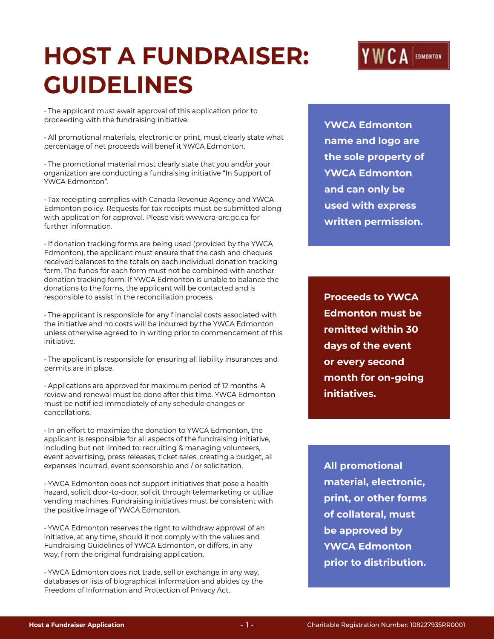# **HOST A FUNDRAISER: GUIDELINES**

• The applicant must await approval of this application prior to proceeding with the fundraising initiative.

• All promotional materials, electronic or print, must clearly state what percentage of net proceeds will benef it YWCA Edmonton.

• The promotional material must clearly state that you and/or your organization are conducting a fundraising initiative "In Support of YWCA Edmonton".

• Tax receipting complies with Canada Revenue Agency and YWCA Edmonton policy. Requests for tax receipts must be submitted along with application for approval. Please visit www.cra-arc.gc.ca for further information.

• If donation tracking forms are being used (provided by the YWCA Edmonton), the applicant must ensure that the cash and cheques received balances to the totals on each individual donation tracking form. The funds for each form must not be combined with another donation tracking form. If YWCA Edmonton is unable to balance the donations to the forms, the applicant will be contacted and is responsible to assist in the reconciliation process.

• The applicant is responsible for any f inancial costs associated with the initiative and no costs will be incurred by the YWCA Edmonton unless otherwise agreed to in writing prior to commencement of this initiative.

• The applicant is responsible for ensuring all liability insurances and permits are in place.

• Applications are approved for maximum period of 12 months. A review and renewal must be done after this time. YWCA Edmonton must be notif ied immediately of any schedule changes or cancellations.

• In an effort to maximize the donation to YWCA Edmonton, the applicant is responsible for all aspects of the fundraising initiative, including but not limited to: recruiting & managing volunteers, event advertising, press releases, ticket sales, creating a budget, all expenses incurred, event sponsorship and / or solicitation.

• YWCA Edmonton does not support initiatives that pose a health hazard, solicit door-to-door, solicit through telemarketing or utilize vending machines. Fundraising initiatives must be consistent with the positive image of YWCA Edmonton.

• YWCA Edmonton reserves the right to withdraw approval of an initiative, at any time, should it not comply with the values and Fundraising Guidelines of YWCA Edmonton, or differs, in any way, f rom the original fundraising application.

• YWCA Edmonton does not trade, sell or exchange in any way, databases or lists of biographical information and abides by the Freedom of Information and Protection of Privacy Act.

**YWCA Edmonton name and logo are the sole property of YWCA Edmonton and can only be used with express written permission.**

**Proceeds to YWCA Edmonton must be remitted within 30 days of the event or every second month for on-going initiatives.**

**All promotional material, electronic, print, or other forms of collateral, must be approved by YWCA Edmonton prior to distribution.**

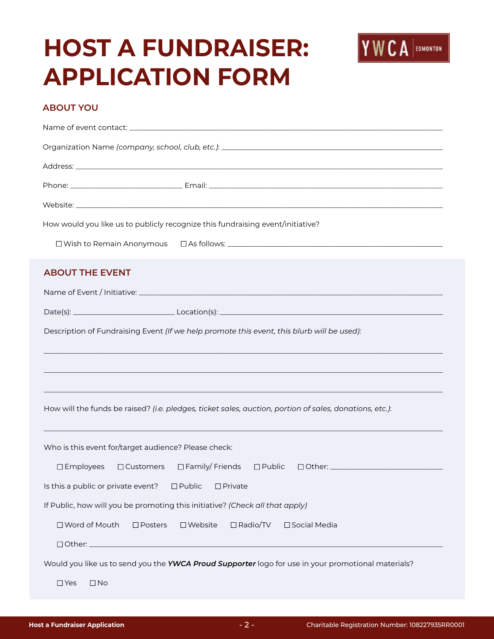# **HOST A FUNDRAISER: APPLICATION FORM**



#### **ABOUT YOU**

|                                                                                            | Organization Name (company, school, club, etc.): [19] Dr. (2010) 2014 19: 00:00 Production Name (company, school, club, etc.): [20] Dr. (2010) 20:00:00 Production Manne (company, school, club, etc.): [20] Dr. (2010) 20:00: |  |  |
|--------------------------------------------------------------------------------------------|--------------------------------------------------------------------------------------------------------------------------------------------------------------------------------------------------------------------------------|--|--|
|                                                                                            |                                                                                                                                                                                                                                |  |  |
|                                                                                            |                                                                                                                                                                                                                                |  |  |
|                                                                                            |                                                                                                                                                                                                                                |  |  |
|                                                                                            | How would you like us to publicly recognize this fundraising event/initiative?                                                                                                                                                 |  |  |
|                                                                                            |                                                                                                                                                                                                                                |  |  |
| <b>ABOUT THE EVENT</b>                                                                     |                                                                                                                                                                                                                                |  |  |
|                                                                                            |                                                                                                                                                                                                                                |  |  |
|                                                                                            |                                                                                                                                                                                                                                |  |  |
| Description of Fundraising Event (If we help promote this event, this blurb will be used): |                                                                                                                                                                                                                                |  |  |
|                                                                                            |                                                                                                                                                                                                                                |  |  |
|                                                                                            | How will the funds be raised? (i.e. pledges, ticket sales, auction, portion of sales, donations, etc.):                                                                                                                        |  |  |
| Who is this event for/target audience? Please check:                                       |                                                                                                                                                                                                                                |  |  |
|                                                                                            | □Employees □ Customers □ Family/ Friends □ Public □ Other: _____________________                                                                                                                                               |  |  |
| Is this a public or private event?<br>$\square$ Public<br>$\Box$ Private                   |                                                                                                                                                                                                                                |  |  |
| If Public, how will you be promoting this initiative? (Check all that apply)               |                                                                                                                                                                                                                                |  |  |
| □ Word of Mouth<br>$\square$ Posters                                                       | $\square$ Website<br>$\Box$ Radio/TV<br>□ Social Media                                                                                                                                                                         |  |  |
|                                                                                            | Would you like us to send you the YWCA Proud Supporter logo for use in your promotional materials?                                                                                                                             |  |  |
| $\square$ Yes<br>$\square$ No                                                              |                                                                                                                                                                                                                                |  |  |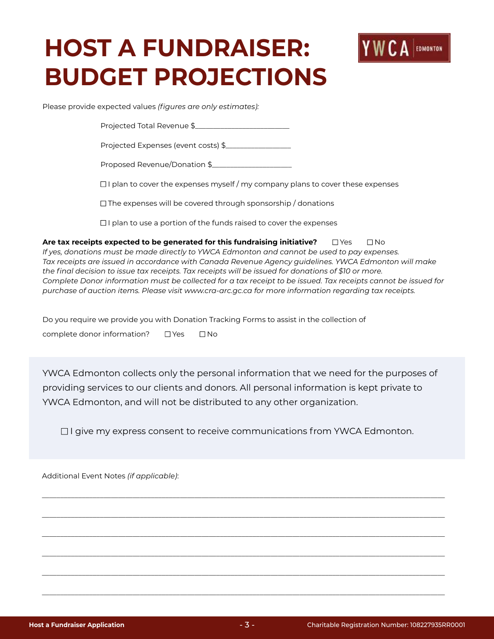# **HOST A FUNDRAISER: BUDGET PROJECTIONS**



Please provide expected values *(figures are only estimates):*

Projected Total Revenue \$

Projected Expenses (event costs) \$\_\_\_\_\_\_\_\_\_\_\_\_\_\_\_\_\_\_

Proposed Revenue/Donation \$\_\_\_\_\_\_\_\_\_\_\_\_\_\_\_\_\_\_\_\_\_\_

 $\Box$  I plan to cover the expenses myself / my company plans to cover these expenses

 $\Box$  The expenses will be covered through sponsorship / donations

 $\Box$  I plan to use a portion of the funds raised to cover the expenses

**Are tax receipts expected to be generated for this fundraising initiative?** □ Yes □ No *If yes, donations must be made directly to YWCA Edmonton and cannot be used to pay expenses. Tax receipts are issued in accordance with Canada Revenue Agency guidelines. YWCA Edmonton will make the final decision to issue tax receipts. Tax receipts will be issued for donations of \$10 or more. Complete Donor information must be collected for a tax receipt to be issued. Tax receipts cannot be issued for purchase of auction items. Please visit [www.cra-arc.gc.ca](http://www.cra-arc.gc.ca) for more information regarding tax receipts.*

Do you require we provide you with Donation Tracking Forms to assist in the collection of

complete donor information? □ Yes □ No

YWCA Edmonton collects only the personal information that we need for the purposes of providing services to our clients and donors. All personal information is kept private to YWCA Edmonton, and will not be distributed to any other organization.

 $\Box$  I give my express consent to receive communications from YWCA Edmonton.

\_\_\_\_\_\_\_\_\_\_\_\_\_\_\_\_\_\_\_\_\_\_\_\_\_\_\_\_\_\_\_\_\_\_\_\_\_\_\_\_\_\_\_\_\_\_\_\_\_\_\_\_\_\_\_\_\_\_\_\_\_\_\_\_\_\_\_\_\_\_\_\_\_\_\_\_\_\_\_\_\_\_\_\_\_\_\_\_\_\_\_\_\_\_\_\_\_\_\_\_\_\_\_\_\_\_\_\_\_\_\_

\_\_\_\_\_\_\_\_\_\_\_\_\_\_\_\_\_\_\_\_\_\_\_\_\_\_\_\_\_\_\_\_\_\_\_\_\_\_\_\_\_\_\_\_\_\_\_\_\_\_\_\_\_\_\_\_\_\_\_\_\_\_\_\_\_\_\_\_\_\_\_\_\_\_\_\_\_\_\_\_\_\_\_\_\_\_\_\_\_\_\_\_\_\_\_\_\_\_\_\_\_\_\_\_\_\_\_\_\_\_\_

\_\_\_\_\_\_\_\_\_\_\_\_\_\_\_\_\_\_\_\_\_\_\_\_\_\_\_\_\_\_\_\_\_\_\_\_\_\_\_\_\_\_\_\_\_\_\_\_\_\_\_\_\_\_\_\_\_\_\_\_\_\_\_\_\_\_\_\_\_\_\_\_\_\_\_\_\_\_\_\_\_\_\_\_\_\_\_\_\_\_\_\_\_\_\_\_\_\_\_\_\_\_\_\_\_\_\_\_\_\_\_

\_\_\_\_\_\_\_\_\_\_\_\_\_\_\_\_\_\_\_\_\_\_\_\_\_\_\_\_\_\_\_\_\_\_\_\_\_\_\_\_\_\_\_\_\_\_\_\_\_\_\_\_\_\_\_\_\_\_\_\_\_\_\_\_\_\_\_\_\_\_\_\_\_\_\_\_\_\_\_\_\_\_\_\_\_\_\_\_\_\_\_\_\_\_\_\_\_\_\_\_\_\_\_\_\_\_\_\_\_\_\_

\_\_\_\_\_\_\_\_\_\_\_\_\_\_\_\_\_\_\_\_\_\_\_\_\_\_\_\_\_\_\_\_\_\_\_\_\_\_\_\_\_\_\_\_\_\_\_\_\_\_\_\_\_\_\_\_\_\_\_\_\_\_\_\_\_\_\_\_\_\_\_\_\_\_\_\_\_\_\_\_\_\_\_\_\_\_\_\_\_\_\_\_\_\_\_\_\_\_\_\_\_\_\_\_\_\_\_\_\_\_\_

\_\_\_\_\_\_\_\_\_\_\_\_\_\_\_\_\_\_\_\_\_\_\_\_\_\_\_\_\_\_\_\_\_\_\_\_\_\_\_\_\_\_\_\_\_\_\_\_\_\_\_\_\_\_\_\_\_\_\_\_\_\_\_\_\_\_\_\_\_\_\_\_\_\_\_\_\_\_\_\_\_\_\_\_\_\_\_\_\_\_\_\_\_\_\_\_\_\_\_\_\_\_\_\_\_\_\_\_\_\_\_

Additional Event Notes *(if applicable)*: